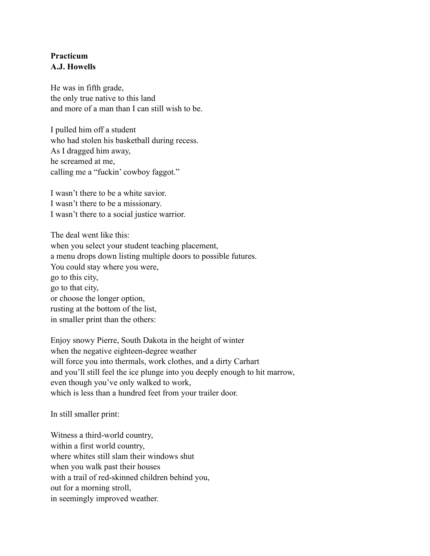## **Practicum A.J. Howells**

He was in fifth grade, the only true native to this land and more of a man than I can still wish to be.

I pulled him off a student who had stolen his basketball during recess. As I dragged him away, he screamed at me, calling me a "fuckin' cowboy faggot."

I wasn't there to be a white savior. I wasn't there to be a missionary. I wasn't there to a social justice warrior.

The deal went like this: when you select your student teaching placement, a menu drops down listing multiple doors to possible futures. You could stay where you were, go to this city, go to that city, or choose the longer option, rusting at the bottom of the list, in smaller print than the others:

Enjoy snowy Pierre, South Dakota in the height of winter when the negative eighteen-degree weather will force you into thermals, work clothes, and a dirty Carhart and you'll still feel the ice plunge into you deeply enough to hit marrow, even though you've only walked to work, which is less than a hundred feet from your trailer door.

In still smaller print:

Witness a third-world country, within a first world country, where whites still slam their windows shut when you walk past their houses with a trail of red-skinned children behind you, out for a morning stroll, in seemingly improved weather.